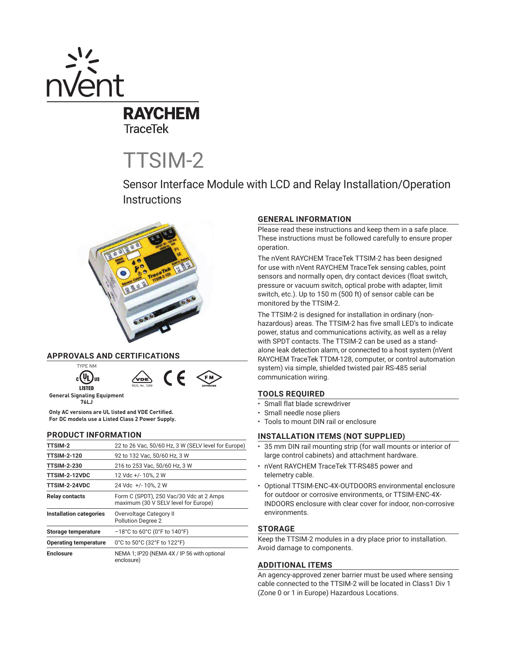

**TraceTek** 

TTSIM-2

Sensor Interface Module with LCD and Relay Installation/Operation **Instructions** 



# **APPROVALS AND CERTIFICATIONS**



**General Signaling Equipment 76LJ**

**Only AC versions are UL listed and VDE Certified. For DC models use a Listed Class 2 Power Supply.**

#### **PRODUCT INFORMATION**

| <b>TTSIM-2</b>               | 22 to 26 Vac, 50/60 Hz, 3 W (SELV level for Europe)                             |
|------------------------------|---------------------------------------------------------------------------------|
| <b>TTSIM-2-120</b>           | 92 to 132 Vac, 50/60 Hz, 3 W                                                    |
| <b>TTSIM-2-230</b>           | 216 to 253 Vac, 50/60 Hz, 3 W                                                   |
| <b>TTSIM-2-12VDC</b>         | 12 Vdc +/- 10%, 2 W                                                             |
| <b>TTSIM-2-24VDC</b>         | 24 Vdc +/- 10%, 2 W                                                             |
| <b>Relay contacts</b>        | Form C (SPDT), 250 Vac/30 Vdc at 2 Amps<br>maximum (30 V SELV level for Europe) |
| Installation categories      | Overvoltage Category II<br><b>Pollution Degree 2</b>                            |
| <b>Storage temperature</b>   | $-18^{\circ}$ C to 60 $^{\circ}$ C (0 $^{\circ}$ F to 140 $^{\circ}$ F)         |
| <b>Operating temperature</b> | 0°C to 50°C (32°F to 122°F)                                                     |
| <b>Enclosure</b>             | NEMA 1; IP20 (NEMA 4X / IP 56 with optional<br>enclosure)                       |

# **GENERAL INFORMATION**

Please read these instructions and keep them in a safe place. These instructions must be followed carefully to ensure proper operation.

The nVent RAYCHEM TraceTek TTSIM-2 has been designed for use with nVent RAYCHEM TraceTek sensing cables, point sensors and normally open, dry contact devices (float switch, pressure or vacuum switch, optical probe with adapter, limit switch, etc.). Up to 150 m (500 ft) of sensor cable can be monitored by the TTSIM-2.

The TTSIM-2 is designed for installation in ordinary (nonhazardous) areas. The TTSIM-2 has five small LED's to indicate power, status and communications activity, as well as a relay with SPDT contacts. The TTSIM-2 can be used as a standalone leak detection alarm, or connected to a host system (nVent RAYCHEM TraceTek TTDM-128, computer, or control automation system) via simple, shielded twisted pair RS-485 serial communication wiring.

# **TOOLS REQUIRED**

- Small flat blade screwdriver
- Small needle nose pliers
- Tools to mount DIN rail or enclosure

## **INSTALLATION ITEMS (NOT SUPPLIED)**

- 35 mm DIN rail mounting strip (for wall mounts or interior of large control cabinets) and attachment hardware.
- nVent RAYCHEM TraceTek TT-RS485 power and telemetry cable.
- Optional TTSIM-ENC-4X-OUTDOORS environmental enclosure for outdoor or corrosive environments, or TTSIM-ENC-4X-INDOORS enclosure with clear cover for indoor, non-corrosive environments.

# **STORAGE**

Keep the TTSIM-2 modules in a dry place prior to installation. Avoid damage to components.

## **ADDITIONAL ITEMS**

An agency-approved zener barrier must be used where sensing cable connected to the TTSIM-2 will be located in Class1 Div 1 (Zone 0 or 1 in Europe) Hazardous Locations.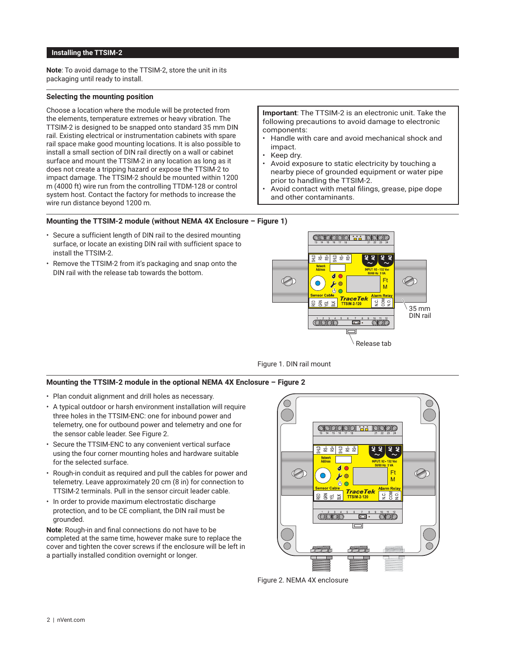# **Installing the TTSIM-2**

**Note**: To avoid damage to the TTSIM-2, store the unit in its packaging until ready to install.

## **Selecting the mounting position**

Choose a location where the module will be protected from the elements, temperature extremes or heavy vibration. The TTSIM-2 is designed to be snapped onto standard 35 mm DIN rail. Existing electrical or instrumentation cabinets with spare rail space make good mounting locations. It is also possible to install a small section of DIN rail directly on a wall or cabinet surface and mount the TTSIM-2 in any location as long as it does not create a tripping hazard or expose the TTSIM-2 to impact damage. The TTSIM-2 should be mounted within 1200 m (4000 ft) wire run from the controlling TTDM-128 or control system host. Contact the factory for methods to increase the wire run distance beyond 1200 m.

**Important**: The TTSIM-2 is an electronic unit. Take the following precautions to avoid damage to electronic components:

- Handle with care and avoid mechanical shock and impact.
- Keep dry.
- Avoid exposure to static electricity by touching a nearby piece of grounded equipment or water pipe prior to handling the TTSIM-2.
- Avoid contact with metal filings, grease, pipe dope and other contaminants.

## **Mounting the TTSIM-2 module (without NEMA 4X Enclosure – Figure 1)**

- Secure a sufficient length of DIN rail to the desired mounting surface, or locate an existing DIN rail with sufficient space to install the TTSIM-2.
- Remove the TTSIM-2 from it's packaging and snap onto the DIN rail with the release tab towards the bottom.





#### **Mounting the TTSIM-2 module in the optional NEMA 4X Enclosure – Figure 2**

- Plan conduit alignment and drill holes as necessary.
- A typical outdoor or harsh environment installation will require three holes in the TTSIM-ENC: one for inbound power and telemetry, one for outbound power and telemetry and one for the sensor cable leader. See Figure 2.
- Secure the TTSIM-ENC to any convenient vertical surface using the four corner mounting holes and hardware suitable for the selected surface.
- Rough-in conduit as required and pull the cables for power and telemetry. Leave approximately 20 cm (8 in) for connection to TTSIM-2 terminals. Pull in the sensor circuit leader cable.
- In order to provide maximum electrostatic discharge protection, and to be CE compliant, the DIN rail must be grounded.

**Note:** Rough-in and final connections do not have to be completed at the same time, however make sure to replace the cover and tighten the cover screws if the enclosure will be left in a partially installed condition overnight or longer.



Figure 2. NEMA 4X enclosure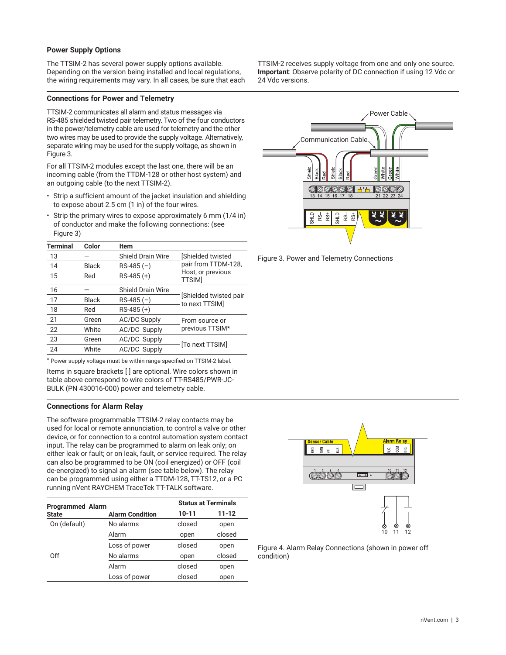# **Power Supply Options**

The TTSIM-2 has several power supply options available. Depending on the version being installed and local regulations, the wiring requirements may vary. In all cases, be sure that each

## **Connections for Power and Telemetry**

TTSIM-2 communicates all alarm and status messages via RS-485 shielded twisted pair telemetry. Two of the four conductors in the power/telemetry cable are used for telemetry and the other two wires may be used to provide the supply voltage. Alternatively, separate wiring may be used for the supply voltage, as shown in Figure 3.

For all TTSIM-2 modules except the last one, there will be an incoming cable (from the TTDM-128 or other host system) and an outgoing cable (to the next TTSIM-2).

- Strip a sufficient amount of the jacket insulation and shielding to expose about 2.5 cm (1 in) of the four wires.
- Strip the primary wires to expose approximately 6 mm (1/4 in) of conductor and make the following connections: (see Figure 3)

| <b>Terminal</b> | Color        | Item                     |                                          |
|-----------------|--------------|--------------------------|------------------------------------------|
| 13              |              | Shield Drain Wire        | [Shielded twisted                        |
| 14              | <b>Black</b> | $RS-485(-)$              | pair from TTDM-128,                      |
| 15              | Red          | $RS-485 (+)$             | Host, or previous<br><b>TTSIM</b>        |
| 16              |              | <b>Shield Drain Wire</b> |                                          |
| 17              | <b>Black</b> | $RS-485(-)$              | [Shielded twisted pair<br>to next TTSIM] |
| 18              | Red          | $RS-485 (+)$             |                                          |
| 21              | Green        | <b>AC/DC Supply</b>      | From source or                           |
| 22              | White        | <b>AC/DC Supply</b>      | previous TTSIM*                          |
| 23              | Green        | AC/DC Supply             |                                          |
| 24              | White        | <b>AC/DC Supply</b>      | [To next TTSIM]                          |
|                 |              |                          |                                          |

\* Power supply voltage must be within range specified on TTSIM-2 label.

Items in square brackets [ ] are optional. Wire colors shown in table above correspond to wire colors of TT-RS485/PWR-JC-BULK (PN 430016-000) power and telemetry cable.

## **Connections for Alarm Relay**

The software programmable TTSIM-2 relay contacts may be used for local or remote annunciation, to control a valve or other device, or for connection to a control automation system contact input. The relay can be programmed to alarm on leak only; on either leak or fault; or on leak, fault, or service required. The relay can also be programmed to be ON (coil energized) or OFF (coil de-energized) to signal an alarm (see table below). The relay can be programmed using either a TTDM-128, TT-TS12, or a PC running nVent RAYCHEM TraceTek TT-TALK software.

| <b>Programmed Alarm</b> |                        |           | <b>Status at Terminals</b> |  |
|-------------------------|------------------------|-----------|----------------------------|--|
| <b>State</b>            | <b>Alarm Condition</b> | $10 - 11$ | $11 - 12$                  |  |
| On (default)            | No alarms              | closed    | open                       |  |
|                         | Alarm                  | open      | closed                     |  |
|                         | Loss of power          | closed    | open                       |  |
| Off                     | No alarms              | open      | closed                     |  |
|                         | Alarm                  | closed    | open                       |  |
|                         | Loss of power          | closed    | open                       |  |

TTSIM-2 receives supply voltage from one and only one source. **Important**: Observe polarity of DC connection if using 12 Vdc or 24 Vdc versions.







Figure 4. Alarm Relay Connections (shown in power off condition)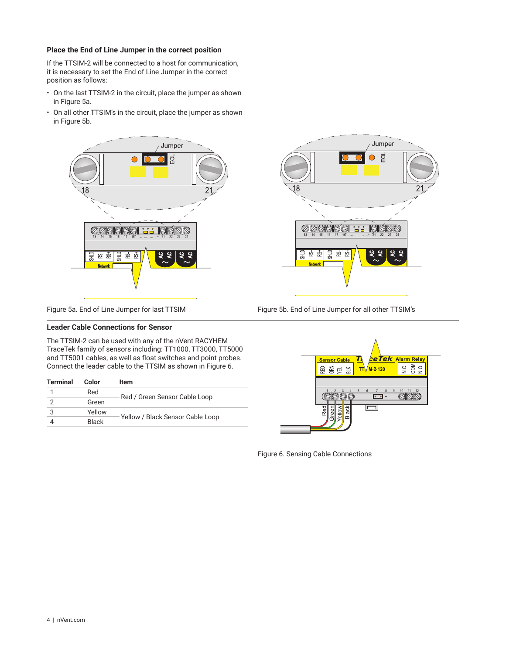## **Place the End of Line Jumper in the correct position**

If the TTSIM-2 will be connected to a host for communication, it is necessary to set the End of Line Jumper in the correct position as follows:

- On the last TTSIM-2 in the circuit, place the jumper as shown in Figure 5a.
- On all other TTSIM's in the circuit, place the jumper as shown in Figure 5b.





Figure 5a. End of Line Jumper for last TTSIM Figure 5b. End of Line Jumper for all other TTSIM's

## **Leader Cable Connections for Sensor**

The TTSIM-2 can be used with any of the nVent RACYHEM TraceTek family of sensors including: TT1000, TT3000, TT5000 and TT5001 cables, as well as float switches and point probes. Connect the leader cable to the TTSIM as shown in Figure 6.

| <b>Terminal</b> | Color        | Item                             |
|-----------------|--------------|----------------------------------|
|                 | Red          |                                  |
| っ               | Green        | Red / Green Sensor Cable Loop    |
| 3               | Yellow       |                                  |
|                 | <b>Black</b> | Yellow / Black Sensor Cable Loop |



Figure 6. Sensing Cable Connections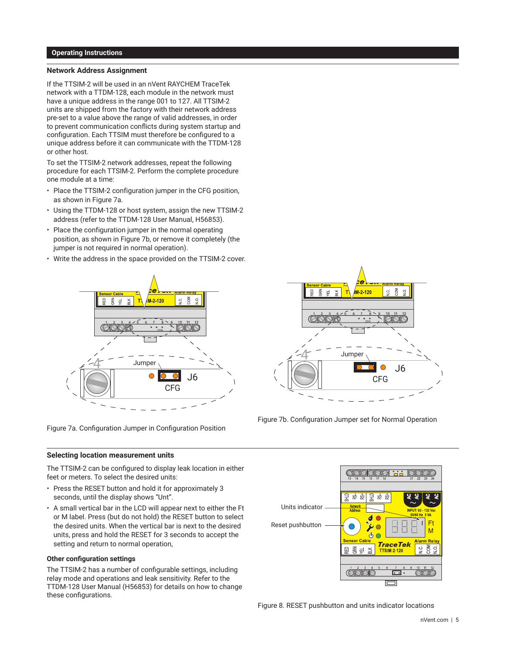#### **Operating Instructions**

## **Network Address Assignment**

If the TTSIM-2 will be used in an nVent RAYCHEM TraceTek network with a TTDM-128, each module in the network must have a unique address in the range 001 to 127. All TTSIM-2 units are shipped from the factory with their network address pre-set to a value above the range of valid addresses, in order to prevent communication conflicts during system startup and configuration. Each TTSIM must therefore be configured to a unique address before it can communicate with the TTDM-128 or other host.

To set the TTSIM-2 network addresses, repeat the following procedure for each TTSIM-2. Perform the complete procedure one module at a time:

- Place the TTSIM-2 configuration jumper in the CFG position, as shown in Figure 7a.
- Using the TTDM-128 or host system, assign the new TTSIM-2 address (refer to the TTDM-128 User Manual, H56853).
- Place the configuration jumper in the normal operating position, as shown in Figure 7b, or remove it completely (the jumper is not required in normal operation).
- Write the address in the space provided on the TTSIM-2 cover.



Figure 7a. Configuration Jumper in Configuration Position

#### **Selecting location measurement units**

The TTSIM-2 can be configured to display leak location in either feet or meters. To select the desired units:

- Press the RESET button and hold it for approximately 3 seconds, until the display shows "Unt".
- A small vertical bar in the LCD will appear next to either the Ft or M label. Press (but do not hold) the RESET button to select the desired units. When the vertical bar is next to the desired units, press and hold the RESET for 3 seconds to accept the setting and return to normal operation,

#### **Other configuration settings**

The TTSIM-2 has a number of configurable settings, including relay mode and operations and leak sensitivity. Refer to the TTDM-128 User Manual (H56853) for details on how to change these configurations.



Figure 7b. Configuration Jumper set for Normal Operation



Figure 8. RESET pushbutton and units indicator locations